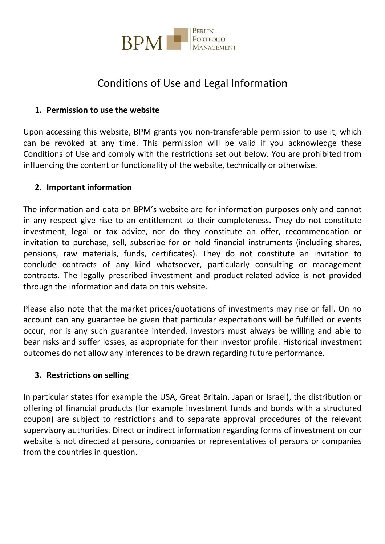

# Conditions of Use and Legal Information

## **1. Permission to use the website**

Upon accessing this website, BPM grants you non-transferable permission to use it, which can be revoked at any time. This permission will be valid if you acknowledge these Conditions of Use and comply with the restrictions set out below. You are prohibited from influencing the content or functionality of the website, technically or otherwise.

#### **2. Important information**

The information and data on BPM's website are for information purposes only and cannot in any respect give rise to an entitlement to their completeness. They do not constitute investment, legal or tax advice, nor do they constitute an offer, recommendation or invitation to purchase, sell, subscribe for or hold financial instruments (including shares, pensions, raw materials, funds, certificates). They do not constitute an invitation to conclude contracts of any kind whatsoever, particularly consulting or management contracts. The legally prescribed investment and product-related advice is not provided through the information and data on this website.

Please also note that the market prices/quotations of investments may rise or fall. On no account can any guarantee be given that particular expectations will be fulfilled or events occur, nor is any such guarantee intended. Investors must always be willing and able to bear risks and suffer losses, as appropriate for their investor profile. Historical investment outcomes do not allow any inferences to be drawn regarding future performance.

#### **3. Restrictions on selling**

In particular states (for example the USA, Great Britain, Japan or Israel), the distribution or offering of financial products (for example investment funds and bonds with a structured coupon) are subject to restrictions and to separate approval procedures of the relevant supervisory authorities. Direct or indirect information regarding forms of investment on our website is not directed at persons, companies or representatives of persons or companies from the countries in question.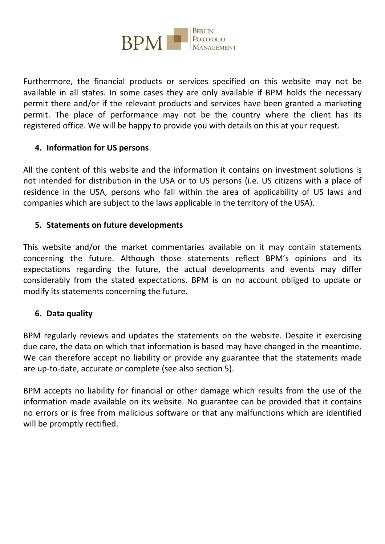

Furthermore, the financial products or services specified on this website may not be available in all states. In some cases they are only available if BPM holds the necessary permit there and/or if the relevant products and services have been granted a marketing permit. The place of performance may not be the country where the client has its registered office. We will be happy to provide you with details on this at your request.

#### **4. Information for US persons**

All the content of this website and the information it contains on investment solutions is not intended for distribution in the USA or to US persons (i.e. US citizens with a place of residence in the USA, persons who fall within the area of applicability of US laws and companies which are subject to the laws applicable in the territory of the USA).

#### **5. Statements on future developments**

This website and/or the market commentaries available on it may contain statements concerning the future. Although those statements reflect BPM's opinions and its expectations regarding the future, the actual developments and events may differ considerably from the stated expectations. BPM is on no account obliged to update or modify its statements concerning the future.

#### **6. Data quality**

BPM regularly reviews and updates the statements on the website. Despite it exercising due care, the data on which that information is based may have changed in the meantime. We can therefore accept no liability or provide any guarantee that the statements made are up-to-date, accurate or complete (see also section 5).

BPM accepts no liability for financial or other damage which results from the use of the information made available on its website. No guarantee can be provided that it contains no errors or is free from malicious software or that any malfunctions which are identified will be promptly rectified.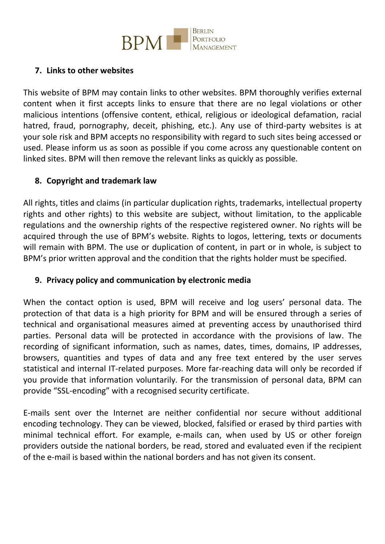

## **7. Links to other websites**

This website of BPM may contain links to other websites. BPM thoroughly verifies external content when it first accepts links to ensure that there are no legal violations or other malicious intentions (offensive content, ethical, religious or ideological defamation, racial hatred, fraud, pornography, deceit, phishing, etc.). Any use of third-party websites is at your sole risk and BPM accepts no responsibility with regard to such sites being accessed or used. Please inform us as soon as possible if you come across any questionable content on linked sites. BPM will then remove the relevant links as quickly as possible.

## **8. Copyright and trademark law**

All rights, titles and claims (in particular duplication rights, trademarks, intellectual property rights and other rights) to this website are subject, without limitation, to the applicable regulations and the ownership rights of the respective registered owner. No rights will be acquired through the use of BPM's website. Rights to logos, lettering, texts or documents will remain with BPM. The use or duplication of content, in part or in whole, is subject to BPM's prior written approval and the condition that the rights holder must be specified.

#### **9. Privacy policy and communication by electronic media**

When the contact option is used, BPM will receive and log users' personal data. The protection of that data is a high priority for BPM and will be ensured through a series of technical and organisational measures aimed at preventing access by unauthorised third parties. Personal data will be protected in accordance with the provisions of law. The recording of significant information, such as names, dates, times, domains, IP addresses, browsers, quantities and types of data and any free text entered by the user serves statistical and internal IT-related purposes. More far-reaching data will only be recorded if you provide that information voluntarily. For the transmission of personal data, BPM can provide "SSL-encoding" with a recognised security certificate.

E-mails sent over the Internet are neither confidential nor secure without additional encoding technology. They can be viewed, blocked, falsified or erased by third parties with minimal technical effort. For example, e-mails can, when used by US or other foreign providers outside the national borders, be read, stored and evaluated even if the recipient of the e-mail is based within the national borders and has not given its consent.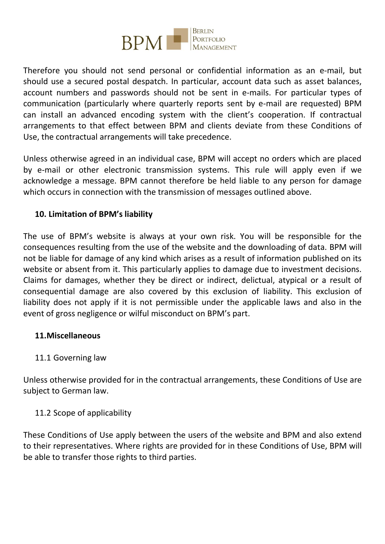

Therefore you should not send personal or confidential information as an e-mail, but should use a secured postal despatch. In particular, account data such as asset balances, account numbers and passwords should not be sent in e-mails. For particular types of communication (particularly where quarterly reports sent by e-mail are requested) BPM can install an advanced encoding system with the client's cooperation. If contractual arrangements to that effect between BPM and clients deviate from these Conditions of Use, the contractual arrangements will take precedence.

Unless otherwise agreed in an individual case, BPM will accept no orders which are placed by e-mail or other electronic transmission systems. This rule will apply even if we acknowledge a message. BPM cannot therefore be held liable to any person for damage which occurs in connection with the transmission of messages outlined above.

## **10. Limitation of BPM's liability**

The use of BPM's website is always at your own risk. You will be responsible for the consequences resulting from the use of the website and the downloading of data. BPM will not be liable for damage of any kind which arises as a result of information published on its website or absent from it. This particularly applies to damage due to investment decisions. Claims for damages, whether they be direct or indirect, delictual, atypical or a result of consequential damage are also covered by this exclusion of liability. This exclusion of liability does not apply if it is not permissible under the applicable laws and also in the event of gross negligence or wilful misconduct on BPM's part.

#### **11.Miscellaneous**

#### 11.1 Governing law

Unless otherwise provided for in the contractual arrangements, these Conditions of Use are subject to German law.

#### 11.2 Scope of applicability

These Conditions of Use apply between the users of the website and BPM and also extend to their representatives. Where rights are provided for in these Conditions of Use, BPM will be able to transfer those rights to third parties.